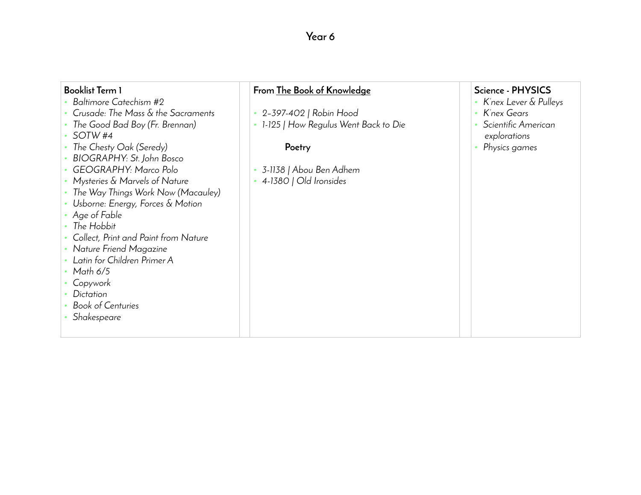## **Year 6**

| <b>Booklist Term 1</b>               | From The Book of Knowledge           | Science - PHYSICS     |
|--------------------------------------|--------------------------------------|-----------------------|
| Baltimore Catechism #2               |                                      | K'nex Lever & Pulleys |
| Crusade: The Mass & the Sacraments   | 2-397-402   Robin Hood               | K'nex Gears           |
| The Good Bad Boy (Fr. Brennan)       | 1-125   How Regulus Went Back to Die | Scientific American   |
| SOTW <sub>#4</sub>                   |                                      | explorations          |
| The Chesty Oak (Seredy)              | Poetry                               | Physics games         |
| BIOGRAPHY: St. John Bosco            |                                      |                       |
| GEOGRAPHY: Marco Polo                | 3-1138   Abou Ben Adhem              |                       |
| Mysteries & Marvels of Nature        | 4-1380   Old Ironsides               |                       |
| The Way Things Work Now (Macauley)   |                                      |                       |
| Usborne: Energy, Forces & Motion     |                                      |                       |
| Age of Fable                         |                                      |                       |
| The Hobbit                           |                                      |                       |
| Collect, Print and Paint from Nature |                                      |                       |
| Nature Friend Magazine               |                                      |                       |
| Latin for Children Primer A          |                                      |                       |
| Math 6/5                             |                                      |                       |
| Copywork                             |                                      |                       |
| Dictation                            |                                      |                       |
| <b>Book of Centuries</b>             |                                      |                       |
| Shakespeare                          |                                      |                       |
|                                      |                                      |                       |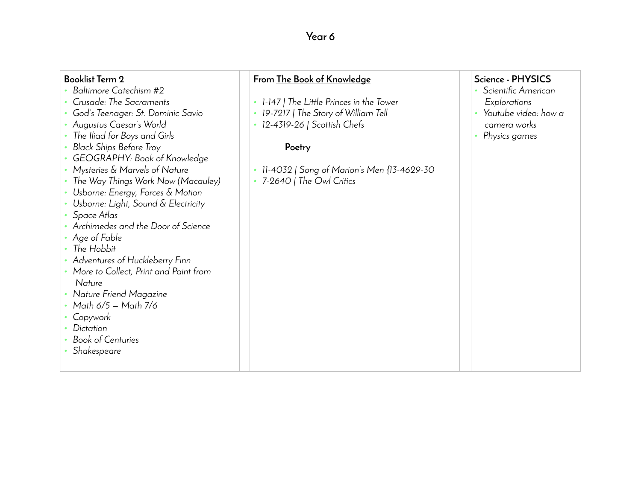## **Year 6**

| <b>Booklist Term 2</b><br>Baltimore Catechism #2<br>Crusade: The Sacraments<br>God's Teenager: St. Dominic Savio<br>Augustus Caesar's World<br>The Iliad for Boys and Girls<br><b>Black Ships Before Troy</b><br>GEOGRAPHY: Book of Knowledge<br>Mysteries & Marvels of Nature<br>The Way Things Work Now (Macauley)<br>Usborne: Energy, Forces & Motion<br>Usborne: Light, Sound & Electricity<br>Space Atlas<br>Archimedes and the Door of Science<br>Age of Fable<br>The Hobbit<br>Adventures of Huckleberry Finn<br>More to Collect, Print and Paint from<br>Nature<br>Nature Friend Magazine<br>Math 6/5 - Math 7/6<br>Copywork<br>Dictation<br><b>Book of Centuries</b><br>Shakespeare | From The Book of Knowledge<br>1-147   The Little Princes in the Tower<br>19-7217   The Story of William Tell<br>12-4319-26   Scottish Chefs<br>Poetry<br>11-4032   Song of Marion's Men {13-4629-30<br>7-2640   The Owl Critics | Science - PHYSICS<br>Scientific American<br>Explorations<br>Youtube video: how a<br>camera works<br>Physics games |
|----------------------------------------------------------------------------------------------------------------------------------------------------------------------------------------------------------------------------------------------------------------------------------------------------------------------------------------------------------------------------------------------------------------------------------------------------------------------------------------------------------------------------------------------------------------------------------------------------------------------------------------------------------------------------------------------|---------------------------------------------------------------------------------------------------------------------------------------------------------------------------------------------------------------------------------|-------------------------------------------------------------------------------------------------------------------|
|----------------------------------------------------------------------------------------------------------------------------------------------------------------------------------------------------------------------------------------------------------------------------------------------------------------------------------------------------------------------------------------------------------------------------------------------------------------------------------------------------------------------------------------------------------------------------------------------------------------------------------------------------------------------------------------------|---------------------------------------------------------------------------------------------------------------------------------------------------------------------------------------------------------------------------------|-------------------------------------------------------------------------------------------------------------------|